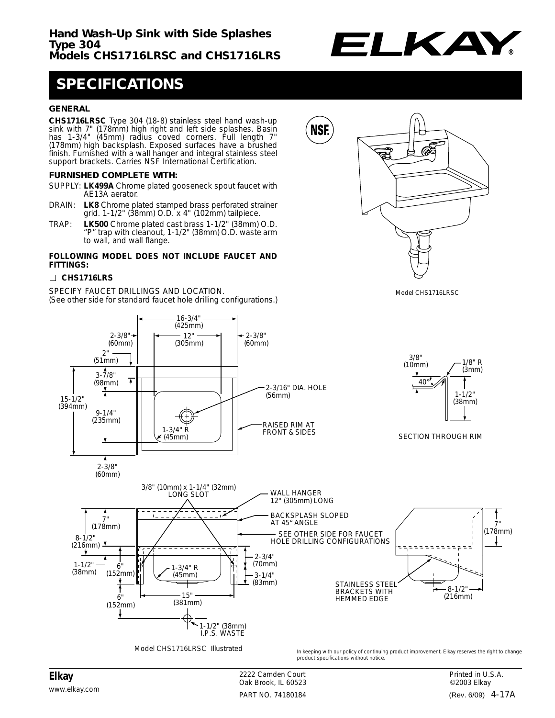

# **SPECIFICATIONS**

### **GENERAL**

**CHS1716LRSC** Type 304 (18-8) stainless steel hand wash-up sink with 7" (178mm) high right and left side splashes. Basin has 1-3/4" (45mm) radius coved corners. Full length 7" (178mm) high backsplash. Exposed surfaces have a brushed finish. Furnished with a wall hanger and integral stainless steel support brackets. Carries NSF International Certification.

#### **FURNISHED COMPLETE WITH:**

- SUPPLY: **LK499A** Chrome plated gooseneck spout faucet with AE13A aerator.
- DRAIN: **LK8** Chrome plated stamped brass perforated strainer grid. 1-1/2" (38mm) O.D. x 4" (102mm) tailpiece.
- TRAP: **LK500** Chrome plated cast brass 1-1/2" (38mm) O.D. "P" trap with cleanout, 1-1/2" (38mm) O.D. waste arm to wall, and wall flange.

#### **FOLLOWING MODEL DOES NOT INCLUDE FAUCET AND FITTINGS:**

#### **CHS1716LRS**

SPECIFY FAUCET DRILLINGS AND LOCATION. (See other side for standard faucet hole drilling configurations.)



**NSF** 

Model CHS1716LRSC



3/8" 1/8" R (10mm) (3mm) <u>+</u> 40° 1-1/2" (38mm)

SECTION THROUGH RIM



*In keeping with our policy of continuing product improvement, Elkay reserves the right to change product specifications without notice.*

**Elkay** 2222 Camden Court Oak Brook, IL 60523 PART NO. 74180184